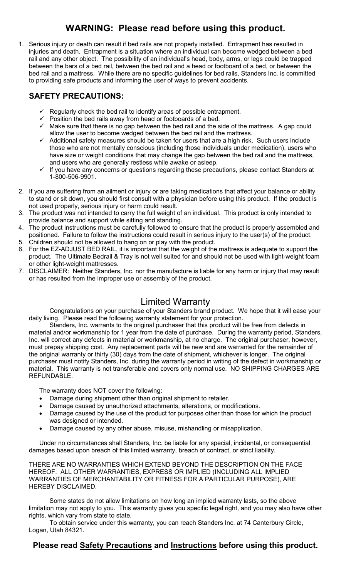## WARNING: Please read before using this product.

1. Serious injury or death can result if bed rails are not properly installed. Entrapment has resulted in injuries and death. Entrapment is a situation where an individual can become wedged between a bed rail and any other object. The possibility of an individual's head, body, arms, or legs could be trapped between the bars of a bed rail, between the bed rail and a head or footboard of a bed, or between the bed rail and a mattress. While there are no specific guidelines for bed rails, Standers Inc. is committed to providing safe products and informing the user of ways to prevent accidents.

#### SAFETY PRECAUTIONS:

- $\checkmark$  Regularly check the bed rail to identify areas of possible entrapment.
- $\checkmark$  Position the bed rails away from head or footboards of a bed.
- $\checkmark$  Make sure that there is no gap between the bed rail and the side of the mattress. A gap could allow the user to become wedged between the bed rail and the mattress.
- $\checkmark$  Additional safety measures should be taken for users that are a high risk. Such users include those who are not mentally conscious (including those individuals under medication), users who have size or weight conditions that may change the gap between the bed rail and the mattress, and users who are generally restless while awake or asleep.
- $\checkmark$  If you have any concerns or questions regarding these precautions, please contact Standers at 1-800-506-9901.
- 2. If you are suffering from an ailment or injury or are taking medications that affect your balance or ability to stand or sit down, you should first consult with a physician before using this product. If the product is not used properly, serious injury or harm could result.
- 3. The product was not intended to carry the full weight of an individual. This product is only intended to provide balance and support while sitting and standing.
- 4. The product instructions must be carefully followed to ensure that the product is properly assembled and positioned. Failure to follow the instructions could result in serious injury to the user(s) of the product.
- 5. Children should not be allowed to hang on or play with the product.
- 6. For the EZ-ADJUST BED RAIL, it is important that the weight of the mattress is adequate to support the product. The Ultimate Bedrail & Tray is not well suited for and should not be used with light-weight foam or other light-weight mattresses.
- 7. DISCLAIMER: Neither Standers, Inc. nor the manufacture is liable for any harm or injury that may result or has resulted from the improper use or assembly of the product.

### Limited Warranty

Congratulations on your purchase of your Standers brand product. We hope that it will ease your daily living. Please read the following warranty statement for your protection.

Standers, Inc. warrants to the original purchaser that this product will be free from defects in material and/or workmanship for 1 year from the date of purchase. During the warranty period, Standers, Inc. will correct any defects in material or workmanship, at no charge. The original purchaser, however, must prepay shipping cost. Any replacement parts will be new and are warranted for the remainder of the original warranty or thirty (30) days from the date of shipment, whichever is longer. The original purchaser must notify Standers, Inc. during the warranty period in writing of the defect in workmanship or material. This warranty is not transferable and covers only normal use. NO SHIPPING CHARGES ARE REFUNDABLE.

The warranty does NOT cover the following:

- Damage during shipment other than original shipment to retailer.
- Damage caused by unauthorized attachments, alterations, or modifications.
- Damage caused by the use of the product for purposes other than those for which the product was designed or intended.
- Damage caused by any other abuse, misuse, mishandling or misapplication.

Under no circumstances shall Standers, Inc. be liable for any special, incidental, or consequential damages based upon breach of this limited warranty, breach of contract, or strict liability.

THERE ARE NO WARRANTIES WHICH EXTEND BEYOND THE DESCRIPTION ON THE FACE HEREOF. ALL OTHER WARRANTIES, EXPRESS OR IMPLIED (INCLUDING ALL IMPLIED WARRANTIES OF MERCHANTABILITY OR FITNESS FOR A PARTICULAR PURPOSE), ARE HEREBY DISCLAIMED.

Some states do not allow limitations on how long an implied warranty lasts, so the above limitation may not apply to you. This warranty gives you specific legal right, and you may also have other rights, which vary from state to state.

To obtain service under this warranty, you can reach Standers Inc. at 74 Canterbury Circle, Logan, Utah 84321.

### Please read Safety Precautions and Instructions before using this product.